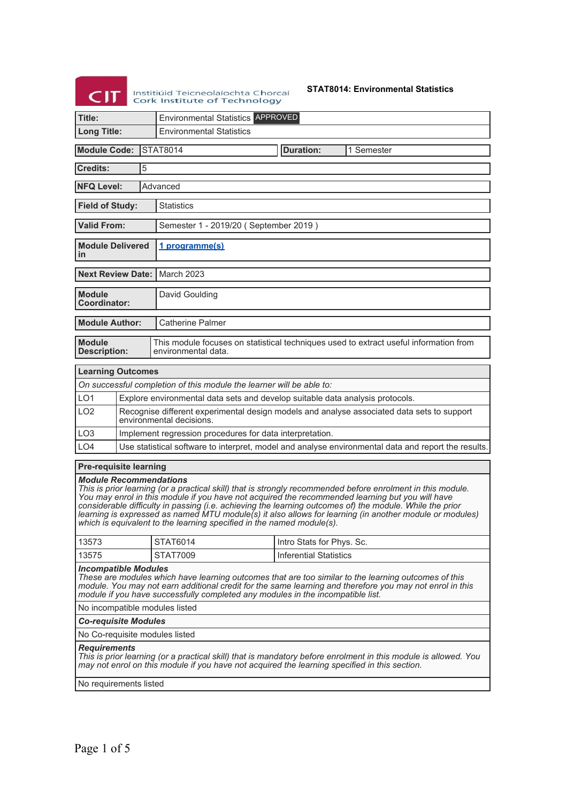Institiúid Teicneolaíochta Chorcaí

**STAT8014: Environmental Statistics**

| ~,,,<br>Cork Institute of Technology                                                                                                                                                                                                                                                                                                                                                                                                                                                                                                             |                                             |   |                                                                                                                        |                               |                                                                                                     |  |  |  |
|--------------------------------------------------------------------------------------------------------------------------------------------------------------------------------------------------------------------------------------------------------------------------------------------------------------------------------------------------------------------------------------------------------------------------------------------------------------------------------------------------------------------------------------------------|---------------------------------------------|---|------------------------------------------------------------------------------------------------------------------------|-------------------------------|-----------------------------------------------------------------------------------------------------|--|--|--|
| Title:                                                                                                                                                                                                                                                                                                                                                                                                                                                                                                                                           |                                             |   | <b>Environmental Statistics APPROVED</b>                                                                               |                               |                                                                                                     |  |  |  |
| <b>Long Title:</b>                                                                                                                                                                                                                                                                                                                                                                                                                                                                                                                               |                                             |   | <b>Environmental Statistics</b>                                                                                        |                               |                                                                                                     |  |  |  |
| <b>Module Code:</b>                                                                                                                                                                                                                                                                                                                                                                                                                                                                                                                              |                                             |   | <b>STAT8014</b>                                                                                                        | <b>Duration:</b>              | 1 Semester                                                                                          |  |  |  |
| <b>Credits:</b>                                                                                                                                                                                                                                                                                                                                                                                                                                                                                                                                  |                                             | 5 |                                                                                                                        |                               |                                                                                                     |  |  |  |
|                                                                                                                                                                                                                                                                                                                                                                                                                                                                                                                                                  | <b>NFQ Level:</b><br>Advanced               |   |                                                                                                                        |                               |                                                                                                     |  |  |  |
|                                                                                                                                                                                                                                                                                                                                                                                                                                                                                                                                                  | <b>Field of Study:</b><br><b>Statistics</b> |   |                                                                                                                        |                               |                                                                                                     |  |  |  |
| <b>Valid From:</b>                                                                                                                                                                                                                                                                                                                                                                                                                                                                                                                               |                                             |   | Semester 1 - 2019/20 (September 2019)                                                                                  |                               |                                                                                                     |  |  |  |
| <b>Module Delivered</b><br>in                                                                                                                                                                                                                                                                                                                                                                                                                                                                                                                    |                                             |   | 1 programme(s)                                                                                                         |                               |                                                                                                     |  |  |  |
| <b>Next Review Date:  </b>                                                                                                                                                                                                                                                                                                                                                                                                                                                                                                                       |                                             |   | <b>March 2023</b>                                                                                                      |                               |                                                                                                     |  |  |  |
| <b>Module</b><br><b>Coordinator:</b>                                                                                                                                                                                                                                                                                                                                                                                                                                                                                                             |                                             |   | David Goulding                                                                                                         |                               |                                                                                                     |  |  |  |
| <b>Module Author:</b>                                                                                                                                                                                                                                                                                                                                                                                                                                                                                                                            |                                             |   | <b>Catherine Palmer</b>                                                                                                |                               |                                                                                                     |  |  |  |
| <b>Module</b><br><b>Description:</b>                                                                                                                                                                                                                                                                                                                                                                                                                                                                                                             |                                             |   | environmental data.                                                                                                    |                               | This module focuses on statistical techniques used to extract useful information from               |  |  |  |
| <b>Learning Outcomes</b>                                                                                                                                                                                                                                                                                                                                                                                                                                                                                                                         |                                             |   |                                                                                                                        |                               |                                                                                                     |  |  |  |
|                                                                                                                                                                                                                                                                                                                                                                                                                                                                                                                                                  |                                             |   | On successful completion of this module the learner will be able to:                                                   |                               |                                                                                                     |  |  |  |
| LO <sub>1</sub>                                                                                                                                                                                                                                                                                                                                                                                                                                                                                                                                  |                                             |   | Explore environmental data sets and develop suitable data analysis protocols.                                          |                               |                                                                                                     |  |  |  |
| LO <sub>2</sub>                                                                                                                                                                                                                                                                                                                                                                                                                                                                                                                                  |                                             |   | Recognise different experimental design models and analyse associated data sets to support<br>environmental decisions. |                               |                                                                                                     |  |  |  |
| LO <sub>3</sub>                                                                                                                                                                                                                                                                                                                                                                                                                                                                                                                                  |                                             |   | Implement regression procedures for data interpretation.                                                               |                               |                                                                                                     |  |  |  |
| LO4                                                                                                                                                                                                                                                                                                                                                                                                                                                                                                                                              |                                             |   |                                                                                                                        |                               | Use statistical software to interpret, model and analyse environmental data and report the results. |  |  |  |
| <b>Pre-requisite learning</b>                                                                                                                                                                                                                                                                                                                                                                                                                                                                                                                    |                                             |   |                                                                                                                        |                               |                                                                                                     |  |  |  |
| <b>Module Recommendations</b><br>This is prior learning (or a practical skill) that is strongly recommended before enrolment in this module.<br>You may enrol in this module if you have not acquired the recommended learning but you will have<br>considerable difficulty in passing (i.e. achieving the learning outcomes of) the module. While the prior<br>learning is expressed as named MTU module(s) it also allows for learning (in another module or modules)<br>which is equivalent to the learning specified in the named module(s). |                                             |   |                                                                                                                        |                               |                                                                                                     |  |  |  |
| 13573                                                                                                                                                                                                                                                                                                                                                                                                                                                                                                                                            |                                             |   | STAT6014                                                                                                               | Intro Stats for Phys. Sc.     |                                                                                                     |  |  |  |
| 13575                                                                                                                                                                                                                                                                                                                                                                                                                                                                                                                                            |                                             |   | <b>STAT7009</b>                                                                                                        | <b>Inferential Statistics</b> |                                                                                                     |  |  |  |
| <b>Incompatible Modules</b><br>These are modules which have learning outcomes that are too similar to the learning outcomes of this<br>module. You may not earn additional credit for the same learning and therefore you may not enrol in this<br>module if you have successfully completed any modules in the incompatible list.                                                                                                                                                                                                               |                                             |   |                                                                                                                        |                               |                                                                                                     |  |  |  |
| No incompatible modules listed                                                                                                                                                                                                                                                                                                                                                                                                                                                                                                                   |                                             |   |                                                                                                                        |                               |                                                                                                     |  |  |  |
| <b>Co-requisite Modules</b>                                                                                                                                                                                                                                                                                                                                                                                                                                                                                                                      |                                             |   |                                                                                                                        |                               |                                                                                                     |  |  |  |
|                                                                                                                                                                                                                                                                                                                                                                                                                                                                                                                                                  |                                             |   | No Co-requisite modules listed                                                                                         |                               |                                                                                                     |  |  |  |
| <b>Requirements</b><br>This is prior learning (or a practical skill) that is mandatory before enrolment in this module is allowed. You<br>may not enrol on this module if you have not acquired the learning specified in this section.                                                                                                                                                                                                                                                                                                          |                                             |   |                                                                                                                        |                               |                                                                                                     |  |  |  |
|                                                                                                                                                                                                                                                                                                                                                                                                                                                                                                                                                  | No requiremente lieted                      |   |                                                                                                                        |                               |                                                                                                     |  |  |  |

No requirements listed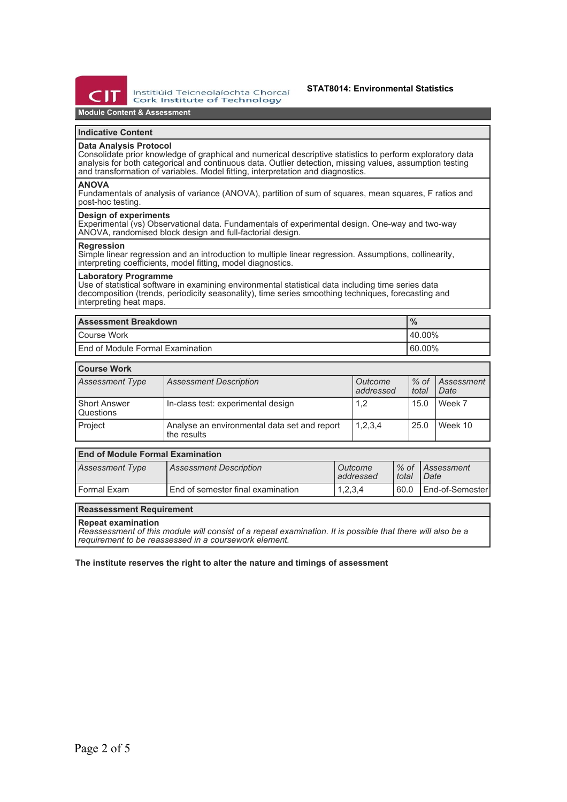

Institiúid Teicneolaíochta Chorcaí **Cork Institute of Technology** 

## **STAT8014: Environmental Statistics**

# **Module Content & Assessment**

# **Indicative Content**

# **Data Analysis Protocol**

Consolidate prior knowledge of graphical and numerical descriptive statistics to perform exploratory data analysis for both categorical and continuous data. Outlier detection, missing values, assumption testing and transformation of variables. Model fitting, interpretation and diagnostics.

#### **ANOVA**

Fundamentals of analysis of variance (ANOVA), partition of sum of squares, mean squares, F ratios and post-hoc testing.

## **Design of experiments**

Experimental (vs) Observational data. Fundamentals of experimental design. One-way and two-way ANOVA, randomised block design and full-factorial design.

### **Regression**

Simple linear regression and an introduction to multiple linear regression. Assumptions, collinearity, interpreting coefficients, model fitting, model diagnostics.

#### **Laboratory Programme**

Use of statistical software in examining environmental statistical data including time series data decomposition (trends, periodicity seasonality), time series smoothing techniques, forecasting and interpreting heat maps.

| <b>Assessment Breakdown</b>              | $\frac{9}{6}$ |
|------------------------------------------|---------------|
| Course Work                              | $140.00\%$    |
| <b>Lend of Module Formal Examination</b> | 60.00%        |

| <b>Course Work</b>        |                                                             |                      |                 |                           |  |
|---------------------------|-------------------------------------------------------------|----------------------|-----------------|---------------------------|--|
| <b>Assessment Type</b>    | <b>Assessment Description</b>                               | Outcome<br>addressed | $%$ of<br>total | <i>Assessment</i><br>Date |  |
| Short Answer<br>Questions | In-class test: experimental design                          | 1,2                  | 15.0            | Week 7                    |  |
| Project                   | Analyse an environmental data set and report<br>the results | 1,2,3,4              | 25.0            | Week 10                   |  |

| <b>End of Module Formal Examination</b> |                                   |                      |         |                                        |  |  |
|-----------------------------------------|-----------------------------------|----------------------|---------|----------------------------------------|--|--|
| Assessment Type                         | <b>Assessment Description</b>     | Outcome<br>addressed | i total | Ⅰ% of <i>Assessment</i><br><i>Date</i> |  |  |
| l Formal Exam                           | End of semester final examination | 1,2,3,4              | 60.0    | LEnd-of-Semester                       |  |  |

## **Reassessment Requirement**

### **Repeat examination**

*Reassessment of this module will consist of a repeat examination. It is possible that there will also be a requirement to be reassessed in a coursework element.*

## **The institute reserves the right to alter the nature and timings of assessment**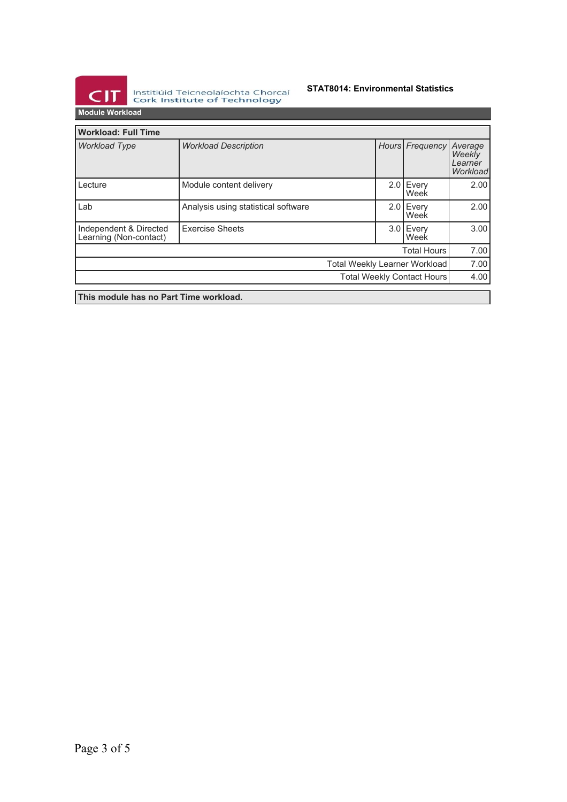

Institiúid Teicneolaíochta Chorcaí<br>Cork Institute of Technology

# **STAT8014: Environmental Statistics**

**Module Workload**

| <b>Workload: Full Time</b>                       |                                     |  |  |                    |                                          |
|--------------------------------------------------|-------------------------------------|--|--|--------------------|------------------------------------------|
| <b>Workload Type</b>                             | <b>Workload Description</b>         |  |  | Hours Frequency    | Average<br>Weekly<br>Learner<br>Workload |
| Lecture                                          | Module content delivery             |  |  | 2.0 Every<br>Week  | 2.00                                     |
| Lab                                              | Analysis using statistical software |  |  | 2.0 Every<br>Week  | 2.00                                     |
| Independent & Directed<br>Learning (Non-contact) | <b>Exercise Sheets</b>              |  |  | 3.0 Every<br>Week  | 3.00                                     |
|                                                  |                                     |  |  | <b>Total Hours</b> | 7.00                                     |
| Total Weekly Learner Workload                    |                                     |  |  |                    | 7.00                                     |
| Total Weekly Contact Hours                       |                                     |  |  | 4.00               |                                          |
| This module has no Part Time workload.           |                                     |  |  |                    |                                          |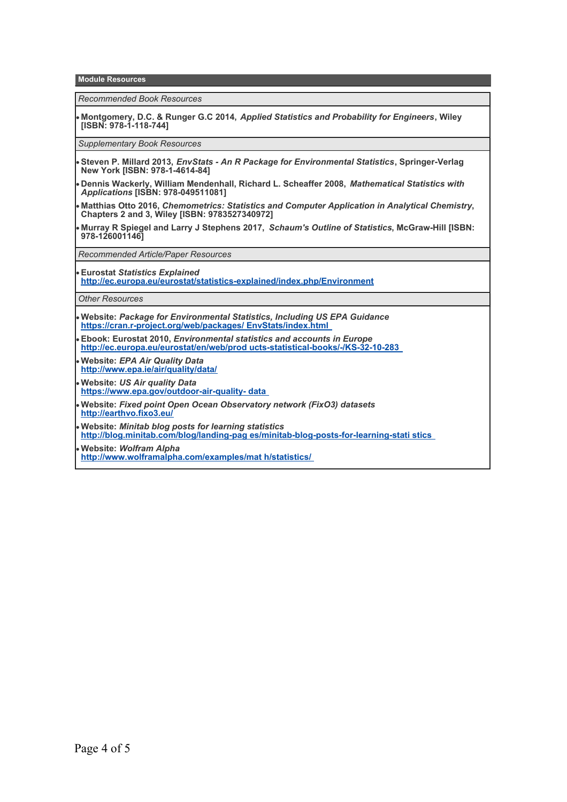**Module Resources**

*Recommended Book Resources*

**Montgomery, D.C. & Runger G.C 2014,** *Applied Statistics and Probability for Engineers***, Wiley [ISBN: 978-1-118-744]**

*Supplementary Book Resources*

- **Steven P. Millard 2013,** *EnvStats An R Package for Environmental Statistics***, Springer-Verlag New York [ISBN: 978-1-4614-84]**
- **Dennis Wackerly, William Mendenhall, Richard L. Scheaffer 2008,** *Mathematical Statistics with Applications* **[ISBN: 978-049511081]**
- **Matthias Otto 2016,** *Chemometrics: Statistics and Computer Application in Analytical Chemistry***, Chapters 2 and 3, Wiley [ISBN: 9783527340972]**
- **Murray R Spiegel and Larry J Stephens 2017,** *Schaum's Outline of Statistics***, McGraw-Hill [ISBN: 978-126001146]**

*Recommended Article/Paper Resources*

**Eurostat** *Statistics Explained* **<http://ec.europa.eu/eurostat/statistics-explained/index.php/Environment>**

*Other Resources*

- **Website:** *Package for Environmental Statistics, Including US EPA Guidance*  **[https://cran.r-project.org/web/packages/ EnvStats/index.html](https://cran.r-project.org/web/packages/EnvStats/index.html)**
- **Ebook: Eurostat 2010,** *Environmental statistics and accounts in Europe*  **[http://ec.europa.eu/eurostat/en/web/prod ucts-statistical-books/-/KS-32-10-283](http://ec.europa.eu/eurostat/en/web/products-statistical-books/-/KS-32-10-283)**
- **Website:** *EPA Air Quality Data* **<http://www.epa.ie/air/quality/data/>**
- **Website:** *US Air quality Data* **[https://www.epa.gov/outdoor-air-quality- data](https://www.epa.gov/outdoor-air-quality-data)**
- **Website:** *Fixed point Open Ocean Observatory network (FixO3) datasets*  **<http://earthvo.fixo3.eu/>**
- **Website:** *Minitab blog posts for learning statistics*

**[http://blog.minitab.com/blog/landing-pag es/minitab-blog-posts-for-learning-stati stics](http://blog.minitab.com/blog/landing-pages/minitab-blog-posts-for-learning-statistics)** 

**Website:** *Wolfram Alpha*

**[http://www.wolframalpha.com/examples/mat h/statistics/](http://www.wolframalpha.com/examples/math/statistics/)**